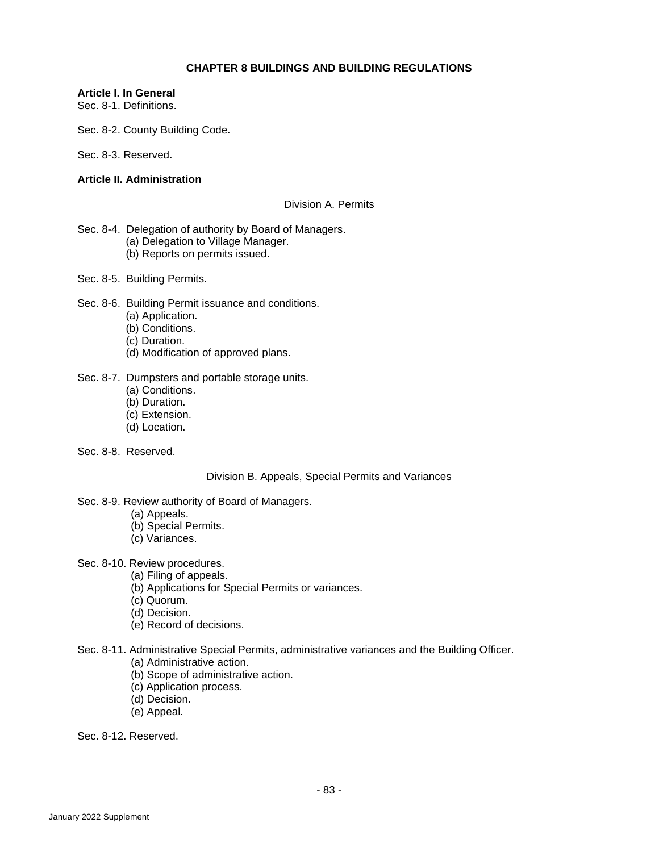## **CHAPTER 8 BUILDINGS AND BUILDING REGULATIONS**

## **Article I. In General**

Sec. 8-1. Definitions.

Sec. 8-2. County Building Code.

Sec. 8-3. Reserved.

## **Article II. Administration**

### Division A. Permits

- Sec. 8-4. Delegation of authority by Board of Managers. (a) Delegation to Village Manager. (b) Reports on permits issued.
- Sec. 8-5. Building Permits.
- Sec. 8-6. Building Permit issuance and conditions.
	- (a) Application.
	- (b) Conditions.
	- (c) Duration.
	- (d) Modification of approved plans.

### Sec. 8-7. Dumpsters and portable storage units.

- (a) Conditions.
- (b) Duration.
- (c) Extension.
- (d) Location.
- Sec. 8-8. Reserved.

## Division B. Appeals, Special Permits and Variances

- Sec. 8-9. Review authority of Board of Managers.
	- (a) Appeals.
	- (b) Special Permits.
	- (c) Variances.
- Sec. 8-10. Review procedures.
	- (a) Filing of appeals.
	- (b) Applications for Special Permits or variances.
	- (c) Quorum.
	- (d) Decision.
	- (e) Record of decisions.
- Sec. 8-11. Administrative Special Permits, administrative variances and the Building Officer.
	- (a) Administrative action.
	- (b) Scope of administrative action.
	- (c) Application process.
	- (d) Decision.
	- (e) Appeal.

Sec. 8-12. Reserved.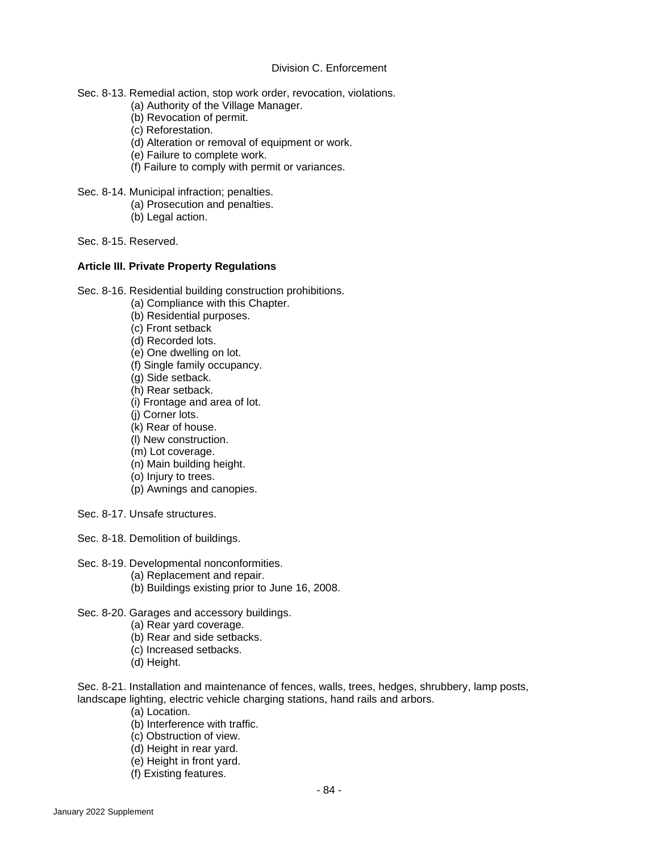## Division C. Enforcement

- Sec. 8-13. Remedial action, stop work order, revocation, violations.
	- (a) Authority of the Village Manager.
	- (b) Revocation of permit.
	- (c) Reforestation.
	- (d) Alteration or removal of equipment or work.
	- (e) Failure to complete work.
	- (f) Failure to comply with permit or variances.
- Sec. 8-14. Municipal infraction; penalties.
	- (a) Prosecution and penalties.
	- (b) Legal action.

Sec. 8-15. Reserved.

## **Article III. Private Property Regulations**

Sec. 8-16. Residential building construction prohibitions.

- (a) Compliance with this Chapter.
- (b) Residential purposes.
- (c) Front setback
- (d) Recorded lots.
- (e) One dwelling on lot.
- (f) Single family occupancy.
- (g) Side setback.
- (h) Rear setback.
- (i) Frontage and area of lot.
- (j) Corner lots.
- (k) Rear of house.
- (l) New construction.
- (m) Lot coverage.
- (n) Main building height.
- (o) Injury to trees.
- (p) Awnings and canopies.
- Sec. 8-17. Unsafe structures.

Sec. 8-18. Demolition of buildings.

- Sec. 8-19. Developmental nonconformities.
	- (a) Replacement and repair.
	- (b) Buildings existing prior to June 16, 2008.

Sec. 8-20. Garages and accessory buildings.

- (a) Rear yard coverage.
- (b) Rear and side setbacks.
- (c) Increased setbacks.
- (d) Height.

Sec. 8-21. Installation and maintenance of fences, walls, trees, hedges, shrubbery, lamp posts, landscape lighting, electric vehicle charging stations, hand rails and arbors.

- (a) Location.
- (b) Interference with traffic.
- (c) Obstruction of view.
- (d) Height in rear yard.
- (e) Height in front yard.
- (f) Existing features.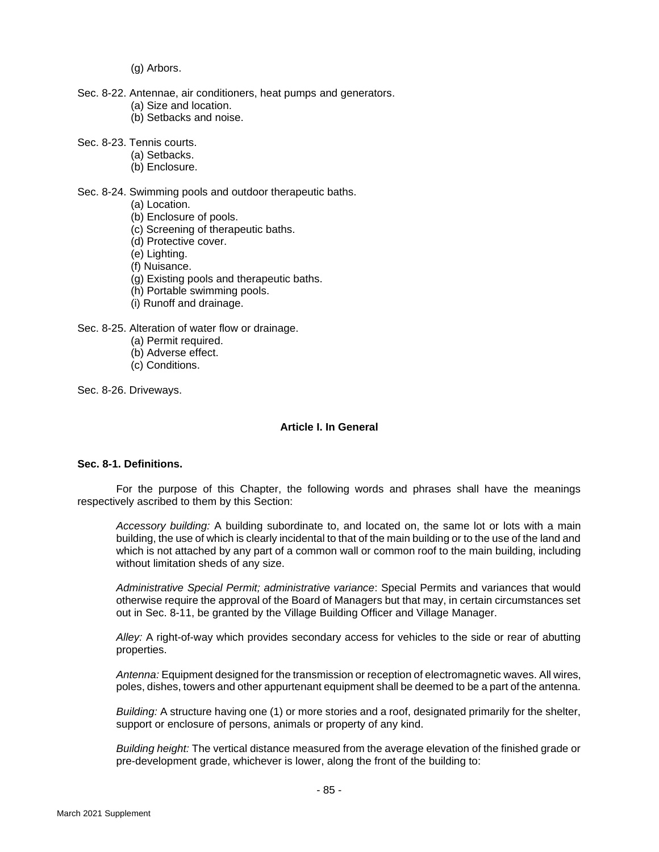(g) Arbors.

- Sec. 8-22. Antennae, air conditioners, heat pumps and generators.
	- (a) Size and location.
	- (b) Setbacks and noise.
- Sec. 8-23. Tennis courts.
	- (a) Setbacks.
	- (b) Enclosure.

### Sec. 8-24. Swimming pools and outdoor therapeutic baths.

- (a) Location.
- (b) Enclosure of pools.
- (c) Screening of therapeutic baths.
- (d) Protective cover.
- (e) Lighting.
- (f) Nuisance.
- (g) Existing pools and therapeutic baths.
- (h) Portable swimming pools.
- (i) Runoff and drainage.

Sec. 8-25. Alteration of water flow or drainage.

- (a) Permit required.
- (b) Adverse effect.
- (c) Conditions.

Sec. 8-26. Driveways.

## **Article I. In General**

## **Sec. 8-1. Definitions.**

For the purpose of this Chapter, the following words and phrases shall have the meanings respectively ascribed to them by this Section:

*Accessory building:* A building subordinate to, and located on, the same lot or lots with a main building, the use of which is clearly incidental to that of the main building or to the use of the land and which is not attached by any part of a common wall or common roof to the main building, including without limitation sheds of any size.

*Administrative Special Permit; administrative variance*: Special Permits and variances that would otherwise require the approval of the Board of Managers but that may, in certain circumstances set out in Sec. 8-11, be granted by the Village Building Officer and Village Manager.

*Alley:* A right-of-way which provides secondary access for vehicles to the side or rear of abutting properties.

*Antenna:* Equipment designed for the transmission or reception of electromagnetic waves. All wires, poles, dishes, towers and other appurtenant equipment shall be deemed to be a part of the antenna.

*Building:* A structure having one (1) or more stories and a roof, designated primarily for the shelter, support or enclosure of persons, animals or property of any kind.

*Building height:* The vertical distance measured from the average elevation of the finished grade or pre-development grade, whichever is lower, along the front of the building to: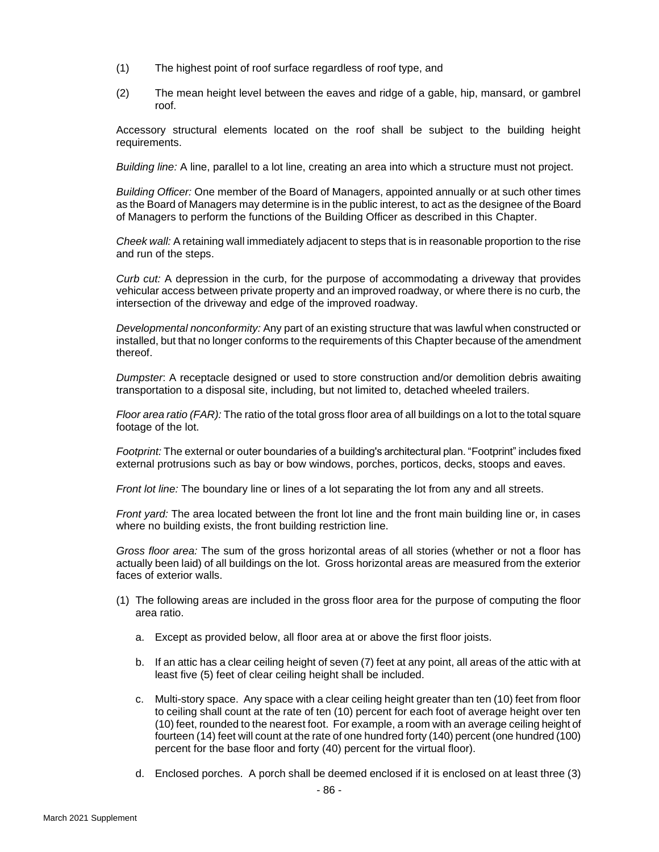- (1) The highest point of roof surface regardless of roof type, and
- (2) The mean height level between the eaves and ridge of a gable, hip, mansard, or gambrel roof.

Accessory structural elements located on the roof shall be subject to the building height requirements.

*Building line:* A line, parallel to a lot line, creating an area into which a structure must not project.

*Building Officer:* One member of the Board of Managers, appointed annually or at such other times as the Board of Managers may determine is in the public interest, to act as the designee of the Board of Managers to perform the functions of the Building Officer as described in this Chapter.

*Cheek wall:* A retaining wall immediately adjacent to steps that is in reasonable proportion to the rise and run of the steps.

*Curb cut:* A depression in the curb, for the purpose of accommodating a driveway that provides vehicular access between private property and an improved roadway, or where there is no curb, the intersection of the driveway and edge of the improved roadway.

*Developmental nonconformity:* Any part of an existing structure that was lawful when constructed or installed, but that no longer conforms to the requirements of this Chapter because of the amendment thereof.

*Dumpster*: A receptacle designed or used to store construction and/or demolition debris awaiting transportation to a disposal site, including, but not limited to, detached wheeled trailers.

*Floor area ratio (FAR):* The ratio of the total gross floor area of all buildings on a lot to the total square footage of the lot.

*Footprint:* The external or outer boundaries of a building's architectural plan. "Footprint" includes fixed external protrusions such as bay or bow windows, porches, porticos, decks, stoops and eaves.

*Front lot line:* The boundary line or lines of a lot separating the lot from any and all streets.

*Front yard:* The area located between the front lot line and the front main building line or, in cases where no building exists, the front building restriction line.

*Gross floor area:* The sum of the gross horizontal areas of all stories (whether or not a floor has actually been laid) of all buildings on the lot. Gross horizontal areas are measured from the exterior faces of exterior walls.

- (1) The following areas are included in the gross floor area for the purpose of computing the floor area ratio.
	- a. Except as provided below, all floor area at or above the first floor joists.
	- b. If an attic has a clear ceiling height of seven (7) feet at any point, all areas of the attic with at least five (5) feet of clear ceiling height shall be included.
	- c. Multi-story space. Any space with a clear ceiling height greater than ten (10) feet from floor to ceiling shall count at the rate of ten (10) percent for each foot of average height over ten (10) feet, rounded to the nearest foot. For example, a room with an average ceiling height of fourteen (14) feet will count at the rate of one hundred forty (140) percent (one hundred (100) percent for the base floor and forty (40) percent for the virtual floor).
	- d. Enclosed porches. A porch shall be deemed enclosed if it is enclosed on at least three (3)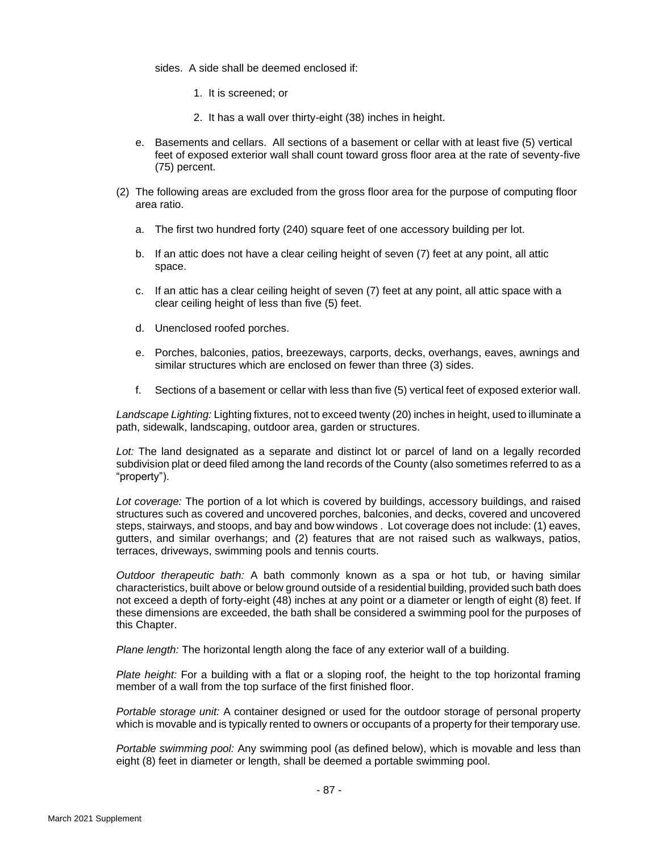sides. A side shall be deemed enclosed if:

- 1. It is screened; or
- 2. It has a wall over thirty-eight (38) inches in height.
- e. Basements and cellars. All sections of a basement or cellar with at least five (5) vertical feet of exposed exterior wall shall count toward gross floor area at the rate of seventy-five (75) percent.
- (2) The following areas are excluded from the gross floor area for the purpose of computing floor area ratio.
	- a. The first two hundred forty (240) square feet of one accessory building per lot.
	- b. If an attic does not have a clear ceiling height of seven (7) feet at any point, all attic space.
	- c. If an attic has a clear ceiling height of seven (7) feet at any point, all attic space with a clear ceiling height of less than five (5) feet.
	- d. Unenclosed roofed porches.
	- e. Porches, balconies, patios, breezeways, carports, decks, overhangs, eaves, awnings and similar structures which are enclosed on fewer than three (3) sides.
	- f. Sections of a basement or cellar with less than five (5) vertical feet of exposed exterior wall.

*Landscape Lighting:* Lighting fixtures, not to exceed twenty (20) inches in height, used to illuminate a path, sidewalk, landscaping, outdoor area, garden or structures.

*Lot:* The land designated as a separate and distinct lot or parcel of land on a legally recorded subdivision plat or deed filed among the land records of the County (also sometimes referred to as a "property").

*Lot coverage:* The portion of a lot which is covered by buildings, accessory buildings, and raised structures such as covered and uncovered porches, balconies, and decks, covered and uncovered steps, stairways, and stoops, and bay and bow windows . Lot coverage does not include: (1) eaves, gutters, and similar overhangs; and (2) features that are not raised such as walkways, patios, terraces, driveways, swimming pools and tennis courts.

*Outdoor therapeutic bath:* A bath commonly known as a spa or hot tub, or having similar characteristics, built above or below ground outside of a residential building, provided such bath does not exceed a depth of forty-eight (48) inches at any point or a diameter or length of eight (8) feet. If these dimensions are exceeded, the bath shall be considered a swimming pool for the purposes of this Chapter.

*Plane length:* The horizontal length along the face of any exterior wall of a building.

*Plate height:* For a building with a flat or a sloping roof, the height to the top horizontal framing member of a wall from the top surface of the first finished floor.

*Portable storage unit:* A container designed or used for the outdoor storage of personal property which is movable and is typically rented to owners or occupants of a property for their temporary use.

*Portable swimming pool:* Any swimming pool (as defined below), which is movable and less than eight (8) feet in diameter or length, shall be deemed a portable swimming pool.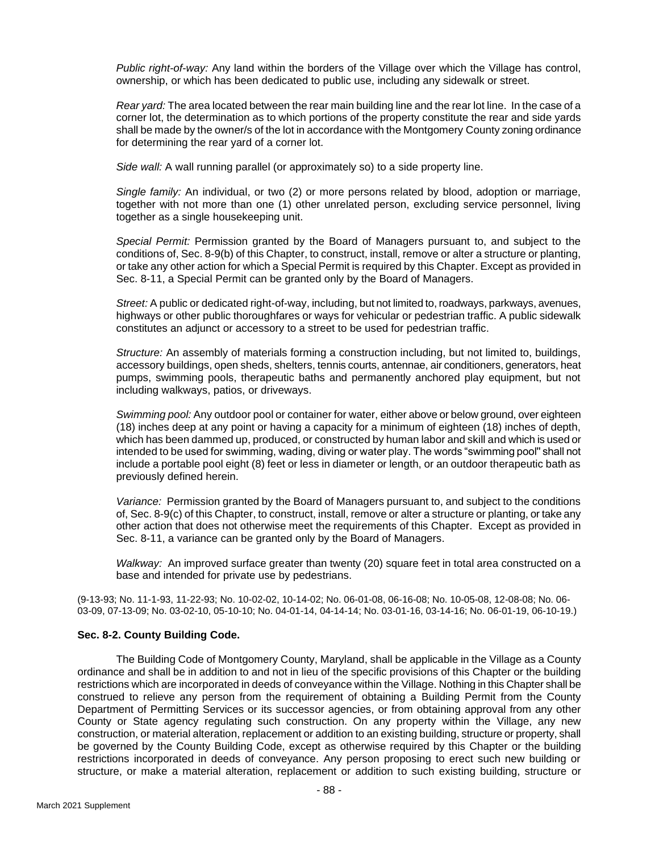*Public right-of-way:* Any land within the borders of the Village over which the Village has control, ownership, or which has been dedicated to public use, including any sidewalk or street.

*Rear yard:* The area located between the rear main building line and the rear lot line. In the case of a corner lot, the determination as to which portions of the property constitute the rear and side yards shall be made by the owner/s of the lot in accordance with the Montgomery County zoning ordinance for determining the rear yard of a corner lot.

*Side wall:* A wall running parallel (or approximately so) to a side property line.

*Single family:* An individual, or two (2) or more persons related by blood, adoption or marriage, together with not more than one (1) other unrelated person, excluding service personnel, living together as a single housekeeping unit.

*Special Permit:* Permission granted by the Board of Managers pursuant to, and subject to the conditions of, Sec. 8-9(b) of this Chapter, to construct, install, remove or alter a structure or planting, or take any other action for which a Special Permit is required by this Chapter. Except as provided in Sec. 8-11, a Special Permit can be granted only by the Board of Managers.

*Street:* A public or dedicated right-of-way, including, but not limited to, roadways, parkways, avenues, highways or other public thoroughfares or ways for vehicular or pedestrian traffic. A public sidewalk constitutes an adjunct or accessory to a street to be used for pedestrian traffic.

*Structure:* An assembly of materials forming a construction including, but not limited to, buildings, accessory buildings, open sheds, shelters, tennis courts, antennae, air conditioners, generators, heat pumps, swimming pools, therapeutic baths and permanently anchored play equipment, but not including walkways, patios, or driveways.

*Swimming pool:* Any outdoor pool or container for water, either above or below ground, over eighteen (18) inches deep at any point or having a capacity for a minimum of eighteen (18) inches of depth, which has been dammed up, produced, or constructed by human labor and skill and which is used or intended to be used for swimming, wading, diving or water play. The words "swimming pool'' shall not include a portable pool eight (8) feet or less in diameter or length, or an outdoor therapeutic bath as previously defined herein.

*Variance:* Permission granted by the Board of Managers pursuant to, and subject to the conditions of, Sec. 8-9(c) of this Chapter, to construct, install, remove or alter a structure or planting, or take any other action that does not otherwise meet the requirements of this Chapter. Except as provided in Sec. 8-11, a variance can be granted only by the Board of Managers.

*Walkway:* An improved surface greater than twenty (20) square feet in total area constructed on a base and intended for private use by pedestrians.

(9-13-93; No. 11-1-93, 11-22-93; No. 10-02-02, 10-14-02; No. 06-01-08, 06-16-08; No. 10-05-08, 12-08-08; No. 06- 03-09, 07-13-09; No. 03-02-10, 05-10-10; No. 04-01-14, 04-14-14; No. 03-01-16, 03-14-16; No. 06-01-19, 06-10-19.)

### **Sec. 8-2. County Building Code.**

The Building Code of Montgomery County, Maryland, shall be applicable in the Village as a County ordinance and shall be in addition to and not in lieu of the specific provisions of this Chapter or the building restrictions which are incorporated in deeds of conveyance within the Village. Nothing in this Chapter shall be construed to relieve any person from the requirement of obtaining a Building Permit from the County Department of Permitting Services or its successor agencies, or from obtaining approval from any other County or State agency regulating such construction. On any property within the Village, any new construction, or material alteration, replacement or addition to an existing building, structure or property, shall be governed by the County Building Code, except as otherwise required by this Chapter or the building restrictions incorporated in deeds of conveyance. Any person proposing to erect such new building or structure, or make a material alteration, replacement or addition to such existing building, structure or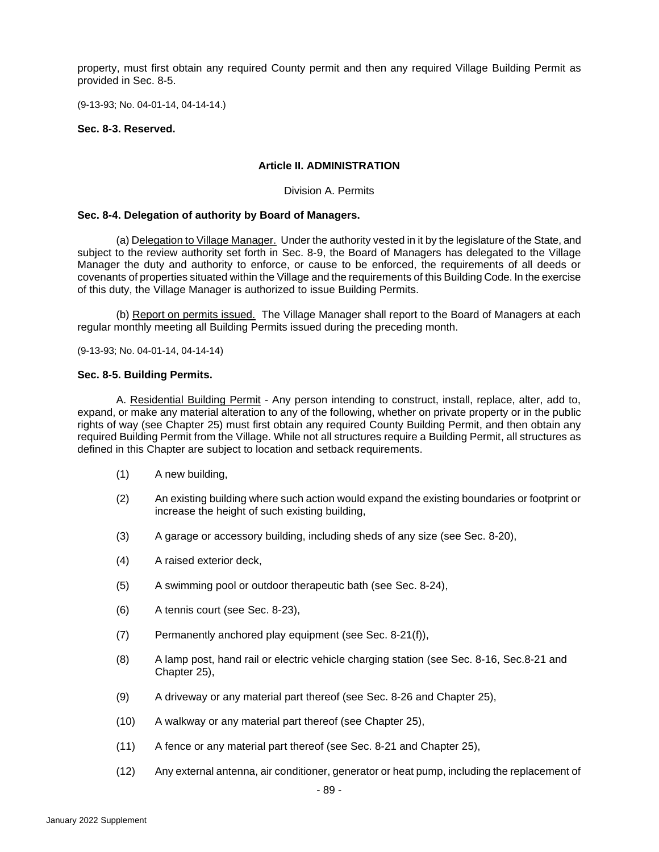property, must first obtain any required County permit and then any required Village Building Permit as provided in Sec. 8-5.

(9-13-93; No. 04-01-14, 04-14-14.)

### **Sec. 8-3. Reserved.**

## **Article II. ADMINISTRATION**

### Division A. Permits

### **Sec. 8-4. Delegation of authority by Board of Managers.**

(a) Delegation to Village Manager. Under the authority vested in it by the legislature of the State, and subject to the review authority set forth in Sec. 8-9, the Board of Managers has delegated to the Village Manager the duty and authority to enforce, or cause to be enforced, the requirements of all deeds or covenants of properties situated within the Village and the requirements of this Building Code. In the exercise of this duty, the Village Manager is authorized to issue Building Permits.

(b) Report on permits issued. The Village Manager shall report to the Board of Managers at each regular monthly meeting all Building Permits issued during the preceding month.

(9-13-93; No. 04-01-14, 04-14-14)

### **Sec. 8-5. Building Permits.**

A. Residential Building Permit - Any person intending to construct, install, replace, alter, add to, expand, or make any material alteration to any of the following, whether on private property or in the public rights of way (see Chapter 25) must first obtain any required County Building Permit, and then obtain any required Building Permit from the Village. While not all structures require a Building Permit, all structures as defined in this Chapter are subject to location and setback requirements.

- (1) A new building,
- (2) An existing building where such action would expand the existing boundaries or footprint or increase the height of such existing building,
- (3) A garage or accessory building, including sheds of any size (see Sec. 8-20),
- (4) A raised exterior deck,
- (5) A swimming pool or outdoor therapeutic bath (see Sec. 8-24),
- (6) A tennis court (see Sec. 8-23),
- (7) Permanently anchored play equipment (see Sec. 8-21(f)),
- (8) A lamp post, hand rail or electric vehicle charging station (see Sec. 8-16, Sec.8-21 and Chapter 25),
- (9) A driveway or any material part thereof (see Sec. 8-26 and Chapter 25),
- (10) A walkway or any material part thereof (see Chapter 25),
- (11) A fence or any material part thereof (see Sec. 8-21 and Chapter 25),
- (12) Any external antenna, air conditioner, generator or heat pump, including the replacement of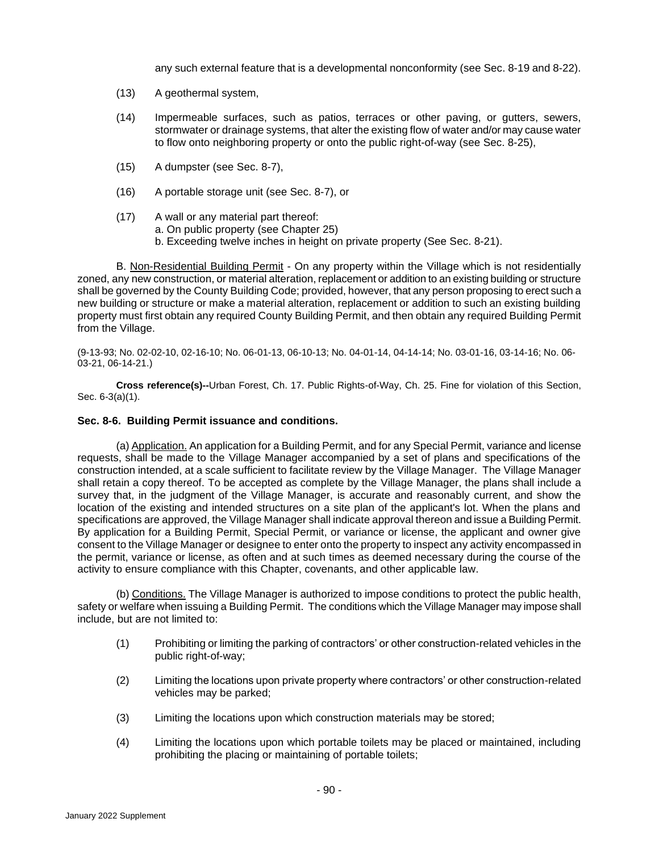any such external feature that is a developmental nonconformity (see Sec. 8-19 and 8-22).

- (13) A geothermal system,
- (14) Impermeable surfaces, such as patios, terraces or other paving, or gutters, sewers, stormwater or drainage systems, that alter the existing flow of water and/or may cause water to flow onto neighboring property or onto the public right-of-way (see Sec. 8-25),
- (15) A dumpster (see Sec. 8-7),
- (16) A portable storage unit (see Sec. 8-7), or
- (17) A wall or any material part thereof:
	- a. On public property (see Chapter 25)
	- b. Exceeding twelve inches in height on private property (See Sec. 8-21).

B. Non-Residential Building Permit - On any property within the Village which is not residentially zoned, any new construction, or material alteration, replacement or addition to an existing building or structure shall be governed by the County Building Code; provided, however, that any person proposing to erect such a new building or structure or make a material alteration, replacement or addition to such an existing building property must first obtain any required County Building Permit, and then obtain any required Building Permit from the Village.

(9-13-93; No. 02-02-10, 02-16-10; No. 06-01-13, 06-10-13; No. 04-01-14, 04-14-14; No. 03-01-16, 03-14-16; No. 06- 03-21, 06-14-21.)

**Cross reference(s)--**Urban Forest, Ch. 17. Public Rights-of-Way, Ch. 25. Fine for violation of this Section, Sec. 6-3(a)(1).

### **Sec. 8-6. Building Permit issuance and conditions.**

(a) Application. An application for a Building Permit, and for any Special Permit, variance and license requests, shall be made to the Village Manager accompanied by a set of plans and specifications of the construction intended, at a scale sufficient to facilitate review by the Village Manager. The Village Manager shall retain a copy thereof. To be accepted as complete by the Village Manager, the plans shall include a survey that, in the judgment of the Village Manager, is accurate and reasonably current, and show the location of the existing and intended structures on a site plan of the applicant's lot. When the plans and specifications are approved, the Village Manager shall indicate approval thereon and issue a Building Permit. By application for a Building Permit, Special Permit, or variance or license, the applicant and owner give consent to the Village Manager or designee to enter onto the property to inspect any activity encompassed in the permit, variance or license, as often and at such times as deemed necessary during the course of the activity to ensure compliance with this Chapter, covenants, and other applicable law.

(b) Conditions. The Village Manager is authorized to impose conditions to protect the public health, safety or welfare when issuing a Building Permit. The conditions which the Village Manager may impose shall include, but are not limited to:

- (1) Prohibiting or limiting the parking of contractors' or other construction-related vehicles in the public right-of-way;
- (2) Limiting the locations upon private property where contractors' or other construction-related vehicles may be parked;
- (3) Limiting the locations upon which construction materials may be stored;
- (4) Limiting the locations upon which portable toilets may be placed or maintained, including prohibiting the placing or maintaining of portable toilets;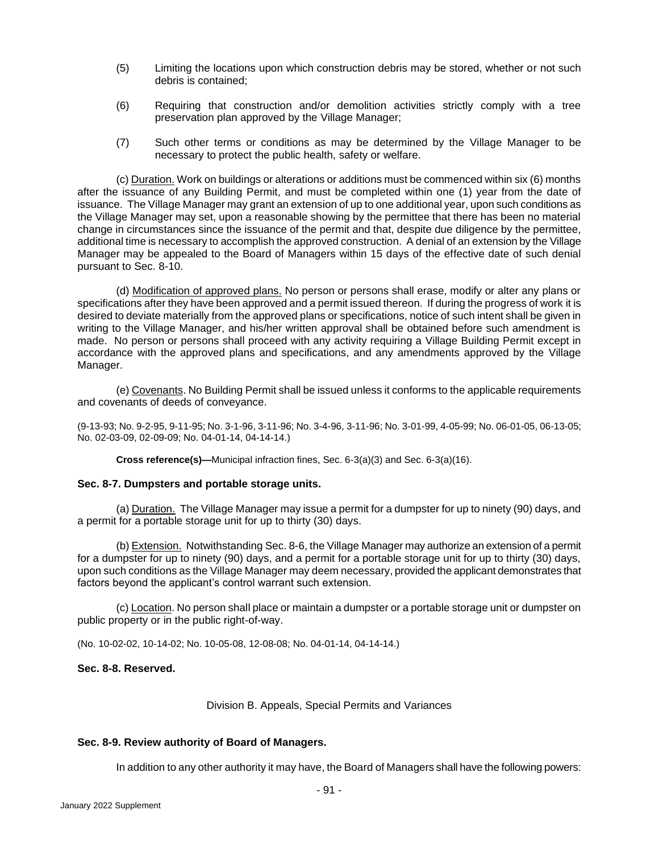- (5) Limiting the locations upon which construction debris may be stored, whether or not such debris is contained;
- (6) Requiring that construction and/or demolition activities strictly comply with a tree preservation plan approved by the Village Manager;
- (7) Such other terms or conditions as may be determined by the Village Manager to be necessary to protect the public health, safety or welfare.

(c) Duration. Work on buildings or alterations or additions must be commenced within six (6) months after the issuance of any Building Permit, and must be completed within one (1) year from the date of issuance. The Village Manager may grant an extension of up to one additional year, upon such conditions as the Village Manager may set, upon a reasonable showing by the permittee that there has been no material change in circumstances since the issuance of the permit and that, despite due diligence by the permittee, additional time is necessary to accomplish the approved construction. A denial of an extension by the Village Manager may be appealed to the Board of Managers within 15 days of the effective date of such denial pursuant to Sec. 8-10.

(d) Modification of approved plans. No person or persons shall erase, modify or alter any plans or specifications after they have been approved and a permit issued thereon. If during the progress of work it is desired to deviate materially from the approved plans or specifications, notice of such intent shall be given in writing to the Village Manager, and his/her written approval shall be obtained before such amendment is made. No person or persons shall proceed with any activity requiring a Village Building Permit except in accordance with the approved plans and specifications, and any amendments approved by the Village Manager.

(e) Covenants. No Building Permit shall be issued unless it conforms to the applicable requirements and covenants of deeds of conveyance.

(9-13-93; No. 9-2-95, 9-11-95; No. 3-1-96, 3-11-96; No. 3-4-96, 3-11-96; No. 3-01-99, 4-05-99; No. 06-01-05, 06-13-05; No. 02-03-09, 02-09-09; No. 04-01-14, 04-14-14.)

**Cross reference(s)—**Municipal infraction fines, Sec. 6-3(a)(3) and Sec. 6-3(a)(16).

## **Sec. 8-7. Dumpsters and portable storage units.**

(a) Duration. The Village Manager may issue a permit for a dumpster for up to ninety (90) days, and a permit for a portable storage unit for up to thirty (30) days.

(b) Extension. Notwithstanding Sec. 8-6, the Village Manager may authorize an extension of a permit for a dumpster for up to ninety (90) days, and a permit for a portable storage unit for up to thirty (30) days, upon such conditions as the Village Manager may deem necessary, provided the applicant demonstrates that factors beyond the applicant's control warrant such extension.

(c) Location. No person shall place or maintain a dumpster or a portable storage unit or dumpster on public property or in the public right-of-way.

(No. 10-02-02, 10-14-02; No. 10-05-08, 12-08-08; No. 04-01-14, 04-14-14.)

## **Sec. 8-8. Reserved.**

Division B. Appeals, Special Permits and Variances

### **Sec. 8-9. Review authority of Board of Managers.**

In addition to any other authority it may have, the Board of Managers shall have the following powers: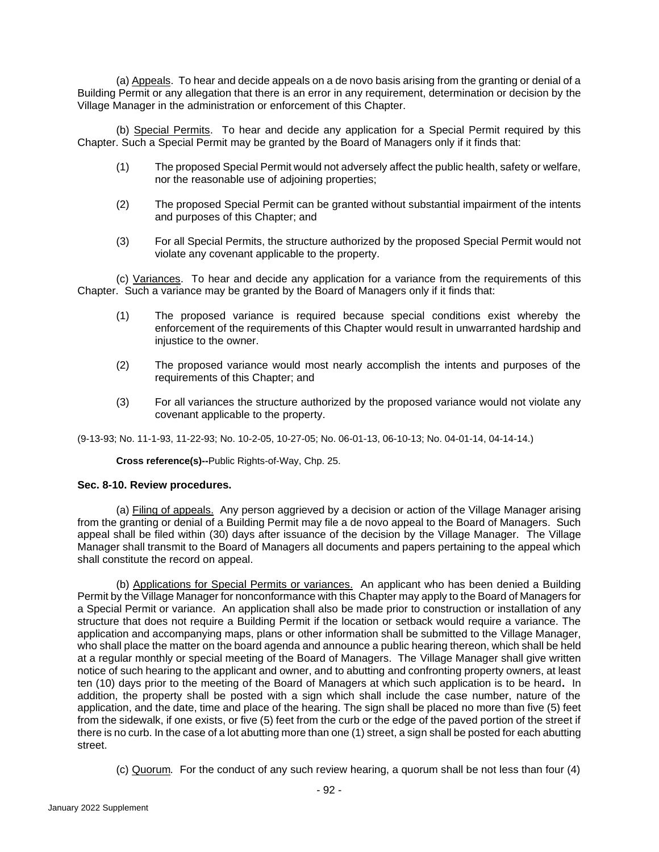(a) Appeals. To hear and decide appeals on a de novo basis arising from the granting or denial of a Building Permit or any allegation that there is an error in any requirement, determination or decision by the Village Manager in the administration or enforcement of this Chapter.

(b) Special Permits. To hear and decide any application for a Special Permit required by this Chapter. Such a Special Permit may be granted by the Board of Managers only if it finds that:

- (1) The proposed Special Permit would not adversely affect the public health, safety or welfare, nor the reasonable use of adjoining properties;
- (2) The proposed Special Permit can be granted without substantial impairment of the intents and purposes of this Chapter; and
- (3) For all Special Permits, the structure authorized by the proposed Special Permit would not violate any covenant applicable to the property.

(c) Variances. To hear and decide any application for a variance from the requirements of this Chapter. Such a variance may be granted by the Board of Managers only if it finds that:

- (1) The proposed variance is required because special conditions exist whereby the enforcement of the requirements of this Chapter would result in unwarranted hardship and injustice to the owner.
- (2) The proposed variance would most nearly accomplish the intents and purposes of the requirements of this Chapter; and
- (3) For all variances the structure authorized by the proposed variance would not violate any covenant applicable to the property.

(9-13-93; No. 11-1-93, 11-22-93; No. 10-2-05, 10-27-05; No. 06-01-13, 06-10-13; No. 04-01-14, 04-14-14.)

**Cross reference(s)--**Public Rights-of-Way, Chp. 25.

## **Sec. 8-10. Review procedures.**

(a) Filing of appeals. Any person aggrieved by a decision or action of the Village Manager arising from the granting or denial of a Building Permit may file a de novo appeal to the Board of Managers. Such appeal shall be filed within (30) days after issuance of the decision by the Village Manager. The Village Manager shall transmit to the Board of Managers all documents and papers pertaining to the appeal which shall constitute the record on appeal.

(b) Applications for Special Permits or variances. An applicant who has been denied a Building Permit by the Village Manager for nonconformance with this Chapter may apply to the Board of Managers for a Special Permit or variance. An application shall also be made prior to construction or installation of any structure that does not require a Building Permit if the location or setback would require a variance. The application and accompanying maps, plans or other information shall be submitted to the Village Manager, who shall place the matter on the board agenda and announce a public hearing thereon, which shall be held at a regular monthly or special meeting of the Board of Managers. The Village Manager shall give written notice of such hearing to the applicant and owner, and to abutting and confronting property owners, at least ten (10) days prior to the meeting of the Board of Managers at which such application is to be heard**.** In addition, the property shall be posted with a sign which shall include the case number, nature of the application, and the date, time and place of the hearing. The sign shall be placed no more than five (5) feet from the sidewalk, if one exists, or five (5) feet from the curb or the edge of the paved portion of the street if there is no curb. In the case of a lot abutting more than one (1) street, a sign shall be posted for each abutting street.

(c) Quorum*.* For the conduct of any such review hearing, a quorum shall be not less than four (4)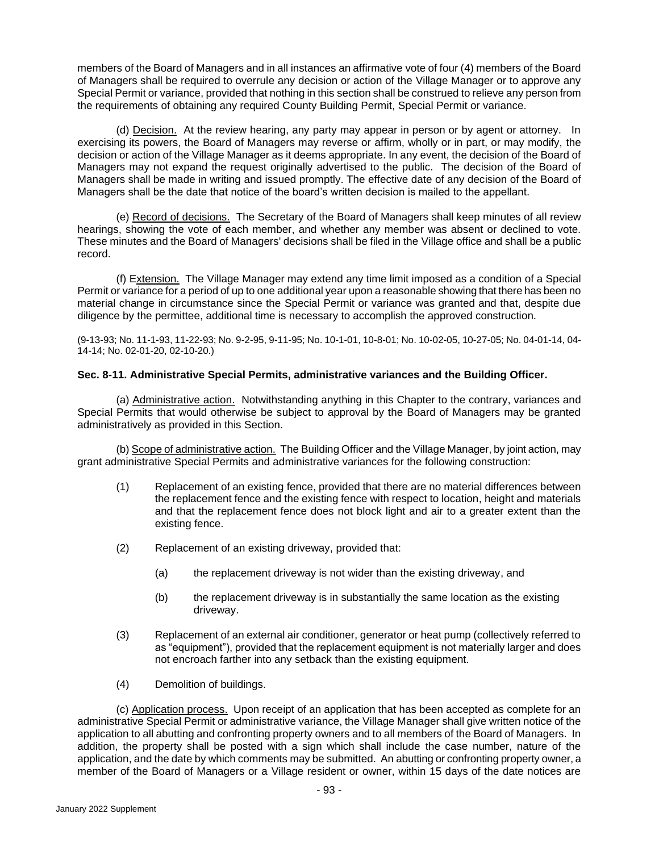members of the Board of Managers and in all instances an affirmative vote of four (4) members of the Board of Managers shall be required to overrule any decision or action of the Village Manager or to approve any Special Permit or variance, provided that nothing in this section shall be construed to relieve any person from the requirements of obtaining any required County Building Permit, Special Permit or variance.

(d) Decision. At the review hearing, any party may appear in person or by agent or attorney. In exercising its powers, the Board of Managers may reverse or affirm, wholly or in part, or may modify, the decision or action of the Village Manager as it deems appropriate. In any event, the decision of the Board of Managers may not expand the request originally advertised to the public. The decision of the Board of Managers shall be made in writing and issued promptly. The effective date of any decision of the Board of Managers shall be the date that notice of the board's written decision is mailed to the appellant.

(e) Record of decisions. The Secretary of the Board of Managers shall keep minutes of all review hearings, showing the vote of each member, and whether any member was absent or declined to vote. These minutes and the Board of Managers' decisions shall be filed in the Village office and shall be a public record.

(f) Extension. The Village Manager may extend any time limit imposed as a condition of a Special Permit or variance for a period of up to one additional year upon a reasonable showing that there has been no material change in circumstance since the Special Permit or variance was granted and that, despite due diligence by the permittee, additional time is necessary to accomplish the approved construction.

(9-13-93; No. 11-1-93, 11-22-93; No. 9-2-95, 9-11-95; No. 10-1-01, 10-8-01; No. 10-02-05, 10-27-05; No. 04-01-14, 04- 14-14; No. 02-01-20, 02-10-20.)

## **Sec. 8-11. Administrative Special Permits, administrative variances and the Building Officer.**

(a) Administrative action. Notwithstanding anything in this Chapter to the contrary, variances and Special Permits that would otherwise be subject to approval by the Board of Managers may be granted administratively as provided in this Section.

(b) Scope of administrative action. The Building Officer and the Village Manager, by joint action, may grant administrative Special Permits and administrative variances for the following construction:

- (1) Replacement of an existing fence, provided that there are no material differences between the replacement fence and the existing fence with respect to location, height and materials and that the replacement fence does not block light and air to a greater extent than the existing fence.
- (2) Replacement of an existing driveway, provided that:
	- (a) the replacement driveway is not wider than the existing driveway, and
	- (b) the replacement driveway is in substantially the same location as the existing driveway.
- (3) Replacement of an external air conditioner, generator or heat pump (collectively referred to as "equipment"), provided that the replacement equipment is not materially larger and does not encroach farther into any setback than the existing equipment.
- (4) Demolition of buildings.

(c) Application process. Upon receipt of an application that has been accepted as complete for an administrative Special Permit or administrative variance, the Village Manager shall give written notice of the application to all abutting and confronting property owners and to all members of the Board of Managers. In addition, the property shall be posted with a sign which shall include the case number, nature of the application, and the date by which comments may be submitted. An abutting or confronting property owner, a member of the Board of Managers or a Village resident or owner, within 15 days of the date notices are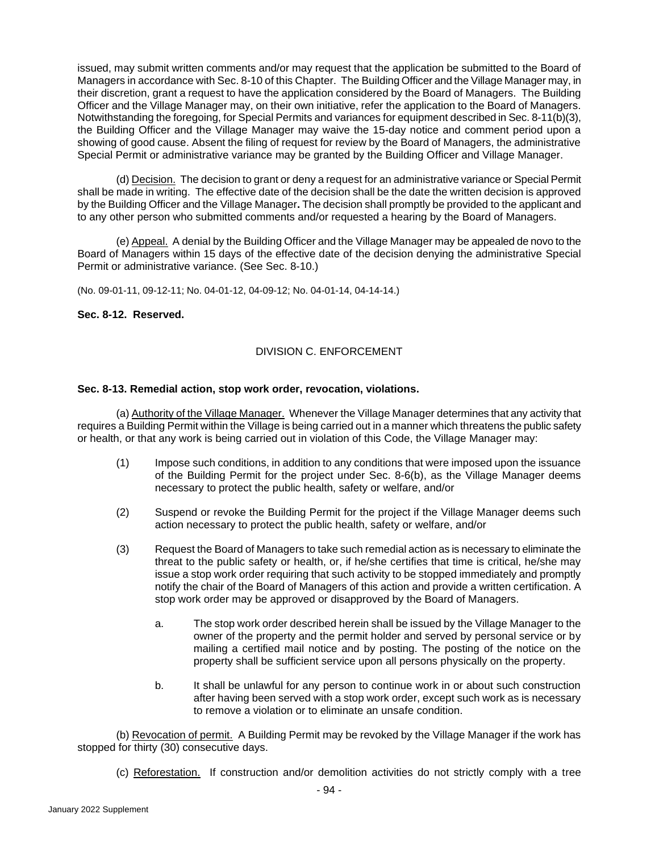issued, may submit written comments and/or may request that the application be submitted to the Board of Managers in accordance with Sec. 8-10 of this Chapter. The Building Officer and the Village Manager may, in their discretion, grant a request to have the application considered by the Board of Managers. The Building Officer and the Village Manager may, on their own initiative, refer the application to the Board of Managers. Notwithstanding the foregoing, for Special Permits and variances for equipment described in Sec. 8-11(b)(3), the Building Officer and the Village Manager may waive the 15-day notice and comment period upon a showing of good cause. Absent the filing of request for review by the Board of Managers, the administrative Special Permit or administrative variance may be granted by the Building Officer and Village Manager.

(d) Decision. The decision to grant or deny a request for an administrative variance or Special Permit shall be made in writing. The effective date of the decision shall be the date the written decision is approved by the Building Officer and the Village Manager**.** The decision shall promptly be provided to the applicant and to any other person who submitted comments and/or requested a hearing by the Board of Managers.

(e) Appeal. A denial by the Building Officer and the Village Manager may be appealed de novo to the Board of Managers within 15 days of the effective date of the decision denying the administrative Special Permit or administrative variance. (See Sec. 8-10.)

(No. 09-01-11, 09-12-11; No. 04-01-12, 04-09-12; No. 04-01-14, 04-14-14.)

## **Sec. 8-12. Reserved.**

# DIVISION C. ENFORCEMENT

## **Sec. 8-13. Remedial action, stop work order, revocation, violations.**

(a) Authority of the Village Manager. Whenever the Village Manager determines that any activity that requires a Building Permit within the Village is being carried out in a manner which threatens the public safety or health, or that any work is being carried out in violation of this Code, the Village Manager may:

- (1) Impose such conditions, in addition to any conditions that were imposed upon the issuance of the Building Permit for the project under Sec. 8-6(b), as the Village Manager deems necessary to protect the public health, safety or welfare, and/or
- (2) Suspend or revoke the Building Permit for the project if the Village Manager deems such action necessary to protect the public health, safety or welfare, and/or
- (3) Request the Board of Managers to take such remedial action as is necessary to eliminate the threat to the public safety or health, or, if he/she certifies that time is critical, he/she may issue a stop work order requiring that such activity to be stopped immediately and promptly notify the chair of the Board of Managers of this action and provide a written certification. A stop work order may be approved or disapproved by the Board of Managers.
	- a. The stop work order described herein shall be issued by the Village Manager to the owner of the property and the permit holder and served by personal service or by mailing a certified mail notice and by posting. The posting of the notice on the property shall be sufficient service upon all persons physically on the property.
	- b. It shall be unlawful for any person to continue work in or about such construction after having been served with a stop work order, except such work as is necessary to remove a violation or to eliminate an unsafe condition.

(b) Revocation of permit. A Building Permit may be revoked by the Village Manager if the work has stopped for thirty (30) consecutive days.

(c) Reforestation. If construction and/or demolition activities do not strictly comply with a tree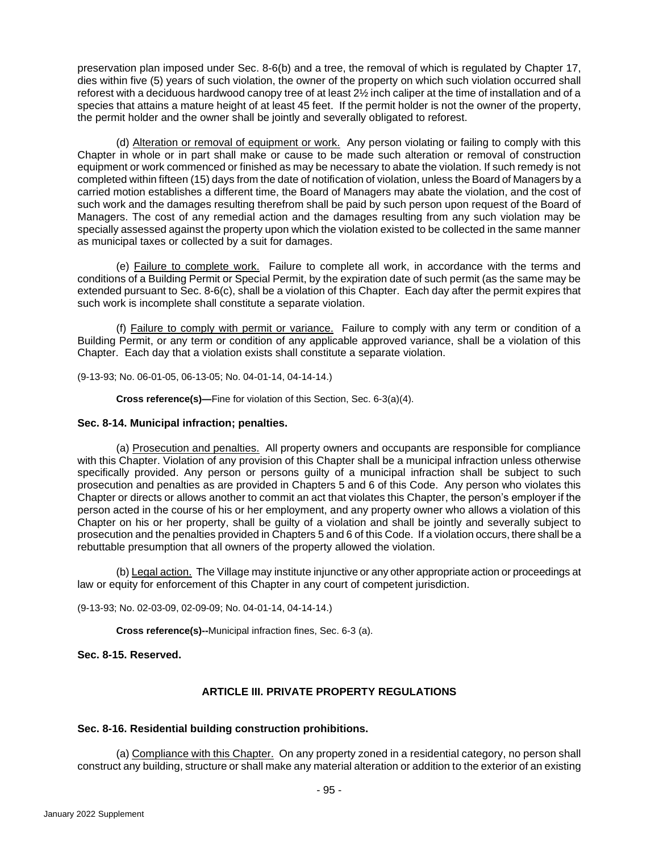preservation plan imposed under Sec. 8-6(b) and a tree, the removal of which is regulated by Chapter 17, dies within five (5) years of such violation, the owner of the property on which such violation occurred shall reforest with a deciduous hardwood canopy tree of at least 2½ inch caliper at the time of installation and of a species that attains a mature height of at least 45 feet. If the permit holder is not the owner of the property, the permit holder and the owner shall be jointly and severally obligated to reforest.

(d) Alteration or removal of equipment or work. Any person violating or failing to comply with this Chapter in whole or in part shall make or cause to be made such alteration or removal of construction equipment or work commenced or finished as may be necessary to abate the violation. If such remedy is not completed within fifteen (15) days from the date of notification of violation, unless the Board of Managers by a carried motion establishes a different time, the Board of Managers may abate the violation, and the cost of such work and the damages resulting therefrom shall be paid by such person upon request of the Board of Managers. The cost of any remedial action and the damages resulting from any such violation may be specially assessed against the property upon which the violation existed to be collected in the same manner as municipal taxes or collected by a suit for damages.

(e) Failure to complete work. Failure to complete all work, in accordance with the terms and conditions of a Building Permit or Special Permit, by the expiration date of such permit (as the same may be extended pursuant to Sec. 8-6(c), shall be a violation of this Chapter. Each day after the permit expires that such work is incomplete shall constitute a separate violation.

(f) Failure to comply with permit or variance. Failure to comply with any term or condition of a Building Permit, or any term or condition of any applicable approved variance, shall be a violation of this Chapter. Each day that a violation exists shall constitute a separate violation.

(9-13-93; No. 06-01-05, 06-13-05; No. 04-01-14, 04-14-14.)

**Cross reference(s)—**Fine for violation of this Section, Sec. 6-3(a)(4).

## **Sec. 8-14. Municipal infraction; penalties.**

(a) Prosecution and penalties. All property owners and occupants are responsible for compliance with this Chapter. Violation of any provision of this Chapter shall be a municipal infraction unless otherwise specifically provided. Any person or persons guilty of a municipal infraction shall be subject to such prosecution and penalties as are provided in Chapters 5 and 6 of this Code. Any person who violates this Chapter or directs or allows another to commit an act that violates this Chapter, the person's employer if the person acted in the course of his or her employment, and any property owner who allows a violation of this Chapter on his or her property, shall be guilty of a violation and shall be jointly and severally subject to prosecution and the penalties provided in Chapters 5 and 6 of this Code. If a violation occurs, there shall be a rebuttable presumption that all owners of the property allowed the violation.

(b) Legal action. The Village may institute injunctive or any other appropriate action or proceedings at law or equity for enforcement of this Chapter in any court of competent jurisdiction.

(9-13-93; No. 02-03-09, 02-09-09; No. 04-01-14, 04-14-14.)

**Cross reference(s)--**Municipal infraction fines, Sec. 6-3 (a).

# **Sec. 8-15. Reserved.**

## **ARTICLE III. PRIVATE PROPERTY REGULATIONS**

## **Sec. 8-16. Residential building construction prohibitions.**

(a) Compliance with this Chapter. On any property zoned in a residential category, no person shall construct any building, structure or shall make any material alteration or addition to the exterior of an existing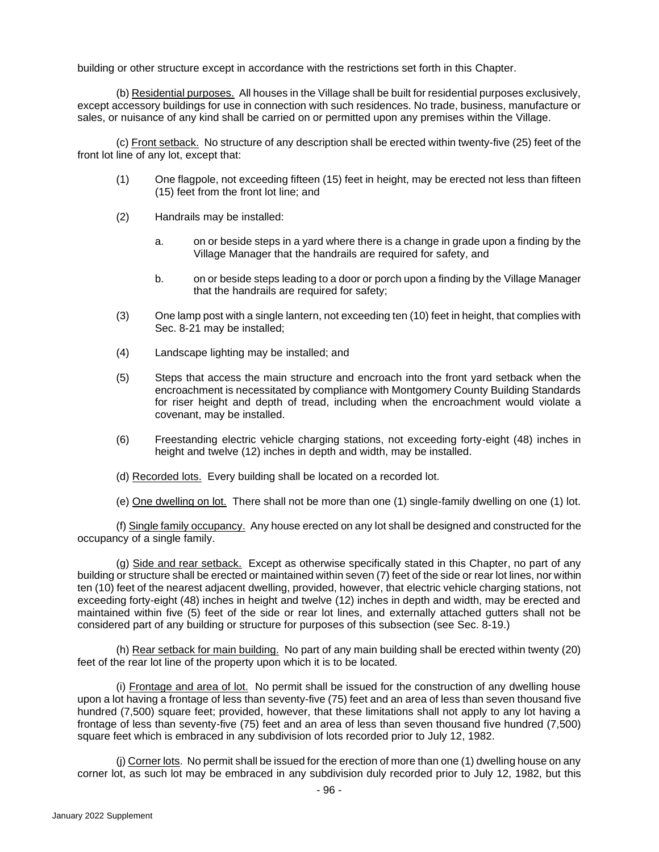building or other structure except in accordance with the restrictions set forth in this Chapter.

(b) Residential purposes. All houses in the Village shall be built for residential purposes exclusively, except accessory buildings for use in connection with such residences. No trade, business, manufacture or sales, or nuisance of any kind shall be carried on or permitted upon any premises within the Village.

(c) Front setback. No structure of any description shall be erected within twenty-five (25) feet of the front lot line of any lot, except that:

- (1) One flagpole, not exceeding fifteen (15) feet in height, may be erected not less than fifteen (15) feet from the front lot line; and
- (2) Handrails may be installed:
	- a. on or beside steps in a yard where there is a change in grade upon a finding by the Village Manager that the handrails are required for safety, and
	- b. on or beside steps leading to a door or porch upon a finding by the Village Manager that the handrails are required for safety;
- (3) One lamp post with a single lantern, not exceeding ten (10) feet in height, that complies with Sec. 8-21 may be installed;
- (4) Landscape lighting may be installed; and
- (5) Steps that access the main structure and encroach into the front yard setback when the encroachment is necessitated by compliance with Montgomery County Building Standards for riser height and depth of tread, including when the encroachment would violate a covenant, may be installed.
- (6) Freestanding electric vehicle charging stations, not exceeding forty-eight (48) inches in height and twelve (12) inches in depth and width, may be installed.
- (d) Recorded lots. Every building shall be located on a recorded lot.

(e) One dwelling on lot. There shall not be more than one (1) single-family dwelling on one (1) lot.

(f) Single family occupancy. Any house erected on any lot shall be designed and constructed for the occupancy of a single family.

(g) Side and rear setback. Except as otherwise specifically stated in this Chapter, no part of any building or structure shall be erected or maintained within seven (7) feet of the side or rear lot lines, nor within ten (10) feet of the nearest adjacent dwelling, provided, however, that electric vehicle charging stations, not exceeding forty-eight (48) inches in height and twelve (12) inches in depth and width, may be erected and maintained within five (5) feet of the side or rear lot lines, and externally attached gutters shall not be considered part of any building or structure for purposes of this subsection (see Sec. 8-19.)

(h) Rear setback for main building. No part of any main building shall be erected within twenty (20) feet of the rear lot line of the property upon which it is to be located.

(i) Frontage and area of lot. No permit shall be issued for the construction of any dwelling house upon a lot having a frontage of less than seventy-five (75) feet and an area of less than seven thousand five hundred (7,500) square feet; provided, however, that these limitations shall not apply to any lot having a frontage of less than seventy-five (75) feet and an area of less than seven thousand five hundred (7,500) square feet which is embraced in any subdivision of lots recorded prior to July 12, 1982.

(j) Corner lots. No permit shall be issued for the erection of more than one (1) dwelling house on any corner lot, as such lot may be embraced in any subdivision duly recorded prior to July 12, 1982, but this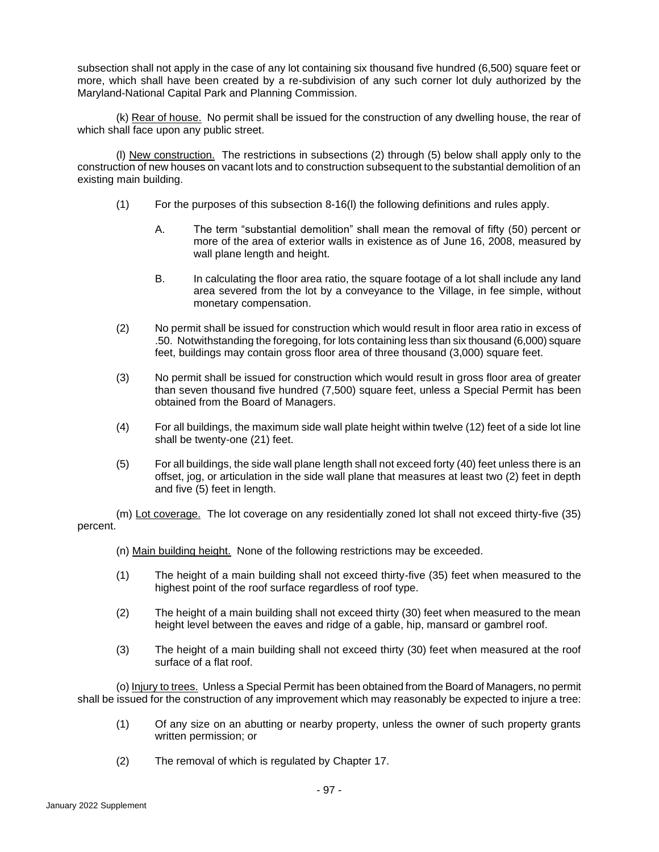subsection shall not apply in the case of any lot containing six thousand five hundred (6,500) square feet or more, which shall have been created by a re-subdivision of any such corner lot duly authorized by the Maryland-National Capital Park and Planning Commission.

(k) Rear of house. No permit shall be issued for the construction of any dwelling house, the rear of which shall face upon any public street.

(l) New construction. The restrictions in subsections (2) through (5) below shall apply only to the construction of new houses on vacant lots and to construction subsequent to the substantial demolition of an existing main building.

- (1) For the purposes of this subsection 8-16(l) the following definitions and rules apply.
	- A. The term "substantial demolition" shall mean the removal of fifty (50) percent or more of the area of exterior walls in existence as of June 16, 2008, measured by wall plane length and height.
	- B. In calculating the floor area ratio, the square footage of a lot shall include any land area severed from the lot by a conveyance to the Village, in fee simple, without monetary compensation.
- (2) No permit shall be issued for construction which would result in floor area ratio in excess of .50. Notwithstanding the foregoing, for lots containing less than six thousand (6,000) square feet, buildings may contain gross floor area of three thousand (3,000) square feet.
- (3) No permit shall be issued for construction which would result in gross floor area of greater than seven thousand five hundred (7,500) square feet, unless a Special Permit has been obtained from the Board of Managers.
- (4) For all buildings, the maximum side wall plate height within twelve (12) feet of a side lot line shall be twenty-one (21) feet.
- (5) For all buildings, the side wall plane length shall not exceed forty (40) feet unless there is an offset, jog, or articulation in the side wall plane that measures at least two (2) feet in depth and five (5) feet in length.

(m) Lot coverage. The lot coverage on any residentially zoned lot shall not exceed thirty-five (35) percent.

- (n) Main building height. None of the following restrictions may be exceeded.
- (1) The height of a main building shall not exceed thirty-five (35) feet when measured to the highest point of the roof surface regardless of roof type.
- (2) The height of a main building shall not exceed thirty (30) feet when measured to the mean height level between the eaves and ridge of a gable, hip, mansard or gambrel roof.
- (3) The height of a main building shall not exceed thirty (30) feet when measured at the roof surface of a flat roof.

(o) Injury to trees. Unless a Special Permit has been obtained from the Board of Managers, no permit shall be issued for the construction of any improvement which may reasonably be expected to injure a tree:

- (1) Of any size on an abutting or nearby property, unless the owner of such property grants written permission; or
- (2) The removal of which is regulated by Chapter 17.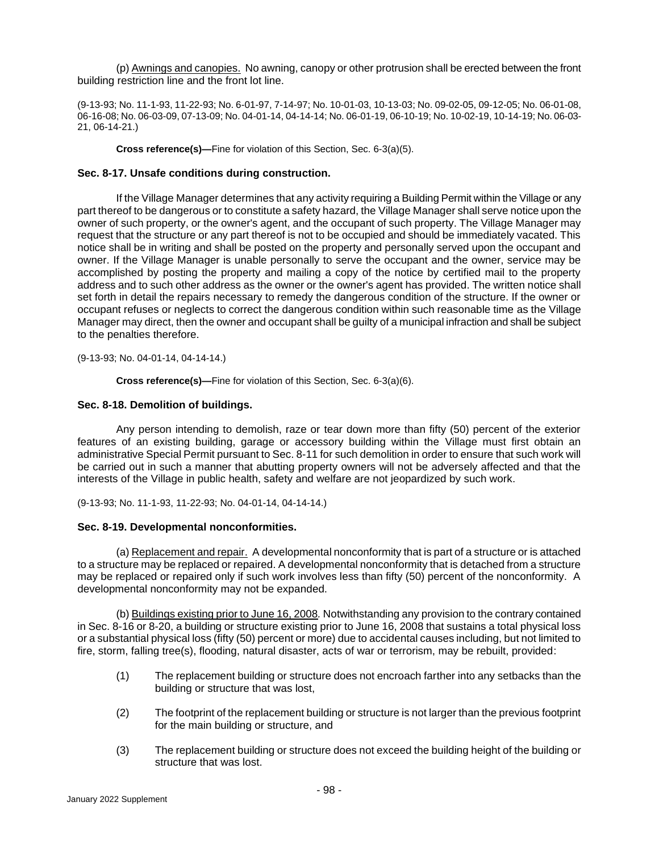(p) Awnings and canopies. No awning, canopy or other protrusion shall be erected between the front building restriction line and the front lot line.

(9-13-93; No. 11-1-93, 11-22-93; No. 6-01-97, 7-14-97; No. 10-01-03, 10-13-03; No. 09-02-05, 09-12-05; No. 06-01-08, 06-16-08; No. 06-03-09, 07-13-09; No. 04-01-14, 04-14-14; No. 06-01-19, 06-10-19; No. 10-02-19, 10-14-19; No. 06-03- 21, 06-14-21.)

**Cross reference(s)—**Fine for violation of this Section, Sec. 6-3(a)(5).

## **Sec. 8-17. Unsafe conditions during construction.**

If the Village Manager determines that any activity requiring a Building Permit within the Village or any part thereof to be dangerous or to constitute a safety hazard, the Village Manager shall serve notice upon the owner of such property, or the owner's agent, and the occupant of such property. The Village Manager may request that the structure or any part thereof is not to be occupied and should be immediately vacated. This notice shall be in writing and shall be posted on the property and personally served upon the occupant and owner. If the Village Manager is unable personally to serve the occupant and the owner, service may be accomplished by posting the property and mailing a copy of the notice by certified mail to the property address and to such other address as the owner or the owner's agent has provided. The written notice shall set forth in detail the repairs necessary to remedy the dangerous condition of the structure. If the owner or occupant refuses or neglects to correct the dangerous condition within such reasonable time as the Village Manager may direct, then the owner and occupant shall be guilty of a municipal infraction and shall be subject to the penalties therefore.

(9-13-93; No. 04-01-14, 04-14-14.)

**Cross reference(s)—**Fine for violation of this Section, Sec. 6-3(a)(6).

## **Sec. 8-18. Demolition of buildings.**

Any person intending to demolish, raze or tear down more than fifty (50) percent of the exterior features of an existing building, garage or accessory building within the Village must first obtain an administrative Special Permit pursuant to Sec. 8-11 for such demolition in order to ensure that such work will be carried out in such a manner that abutting property owners will not be adversely affected and that the interests of the Village in public health, safety and welfare are not jeopardized by such work.

(9-13-93; No. 11-1-93, 11-22-93; No. 04-01-14, 04-14-14.)

## **Sec. 8-19. Developmental nonconformities.**

(a) Replacement and repair. A developmental nonconformity that is part of a structure or is attached to a structure may be replaced or repaired. A developmental nonconformity that is detached from a structure may be replaced or repaired only if such work involves less than fifty (50) percent of the nonconformity. A developmental nonconformity may not be expanded.

(b) Buildings existing prior to June 16, 2008*.* Notwithstanding any provision to the contrary contained in Sec. 8-16 or 8-20, a building or structure existing prior to June 16, 2008 that sustains a total physical loss or a substantial physical loss (fifty (50) percent or more) due to accidental causes including, but not limited to fire, storm, falling tree(s), flooding, natural disaster, acts of war or terrorism, may be rebuilt, provided:

- (1) The replacement building or structure does not encroach farther into any setbacks than the building or structure that was lost,
- (2) The footprint of the replacement building or structure is not larger than the previous footprint for the main building or structure, and
- (3) The replacement building or structure does not exceed the building height of the building or structure that was lost.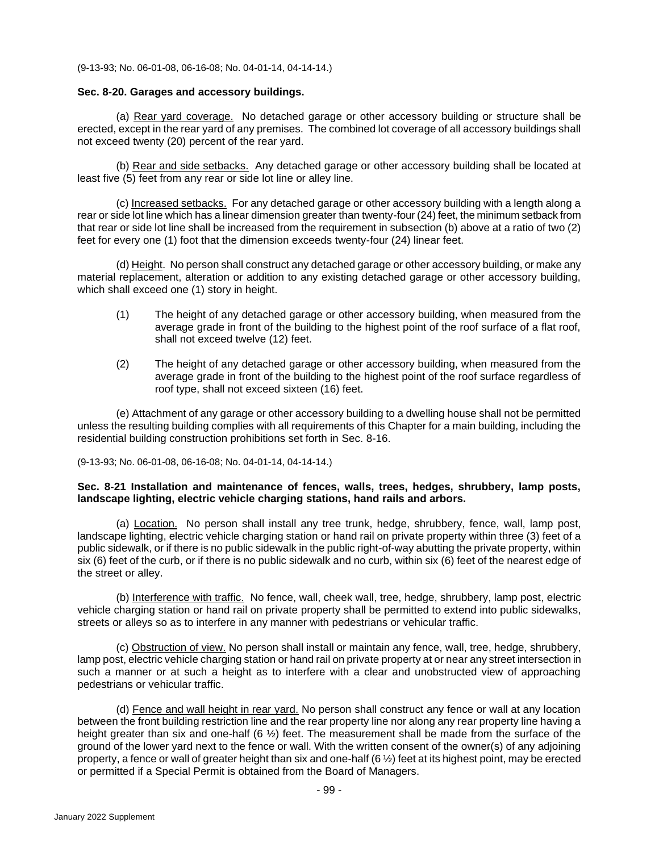(9-13-93; No. 06-01-08, 06-16-08; No. 04-01-14, 04-14-14.)

### **Sec. 8-20. Garages and accessory buildings.**

(a) Rear yard coverage. No detached garage or other accessory building or structure shall be erected, except in the rear yard of any premises. The combined lot coverage of all accessory buildings shall not exceed twenty (20) percent of the rear yard.

(b) Rear and side setbacks. Any detached garage or other accessory building shall be located at least five (5) feet from any rear or side lot line or alley line.

(c) Increased setbacks. For any detached garage or other accessory building with a length along a rear or side lot line which has a linear dimension greater than twenty-four (24) feet, the minimum setback from that rear or side lot line shall be increased from the requirement in subsection (b) above at a ratio of two (2) feet for every one (1) foot that the dimension exceeds twenty-four (24) linear feet.

(d) Height. No person shall construct any detached garage or other accessory building, or make any material replacement, alteration or addition to any existing detached garage or other accessory building, which shall exceed one (1) story in height.

- (1) The height of any detached garage or other accessory building, when measured from the average grade in front of the building to the highest point of the roof surface of a flat roof. shall not exceed twelve (12) feet.
- (2) The height of any detached garage or other accessory building, when measured from the average grade in front of the building to the highest point of the roof surface regardless of roof type, shall not exceed sixteen (16) feet.

(e) Attachment of any garage or other accessory building to a dwelling house shall not be permitted unless the resulting building complies with all requirements of this Chapter for a main building, including the residential building construction prohibitions set forth in Sec. 8-16.

(9-13-93; No. 06-01-08, 06-16-08; No. 04-01-14, 04-14-14.)

### **Sec. 8-21 Installation and maintenance of fences, walls, trees, hedges, shrubbery, lamp posts, landscape lighting, electric vehicle charging stations, hand rails and arbors.**

(a) Location. No person shall install any tree trunk, hedge, shrubbery, fence, wall, lamp post, landscape lighting, electric vehicle charging station or hand rail on private property within three (3) feet of a public sidewalk, or if there is no public sidewalk in the public right-of-way abutting the private property, within six (6) feet of the curb, or if there is no public sidewalk and no curb, within six (6) feet of the nearest edge of the street or alley.

(b) Interference with traffic. No fence, wall, cheek wall, tree, hedge, shrubbery, lamp post, electric vehicle charging station or hand rail on private property shall be permitted to extend into public sidewalks, streets or alleys so as to interfere in any manner with pedestrians or vehicular traffic.

(c) Obstruction of view. No person shall install or maintain any fence, wall, tree, hedge, shrubbery, lamp post, electric vehicle charging station or hand rail on private property at or near any street intersection in such a manner or at such a height as to interfere with a clear and unobstructed view of approaching pedestrians or vehicular traffic.

(d) Fence and wall height in rear yard. No person shall construct any fence or wall at any location between the front building restriction line and the rear property line nor along any rear property line having a height greater than six and one-half (6  $\frac{1}{2}$ ) feet. The measurement shall be made from the surface of the ground of the lower yard next to the fence or wall. With the written consent of the owner(s) of any adjoining property, a fence or wall of greater height than six and one-half (6 ½) feet at its highest point, may be erected or permitted if a Special Permit is obtained from the Board of Managers.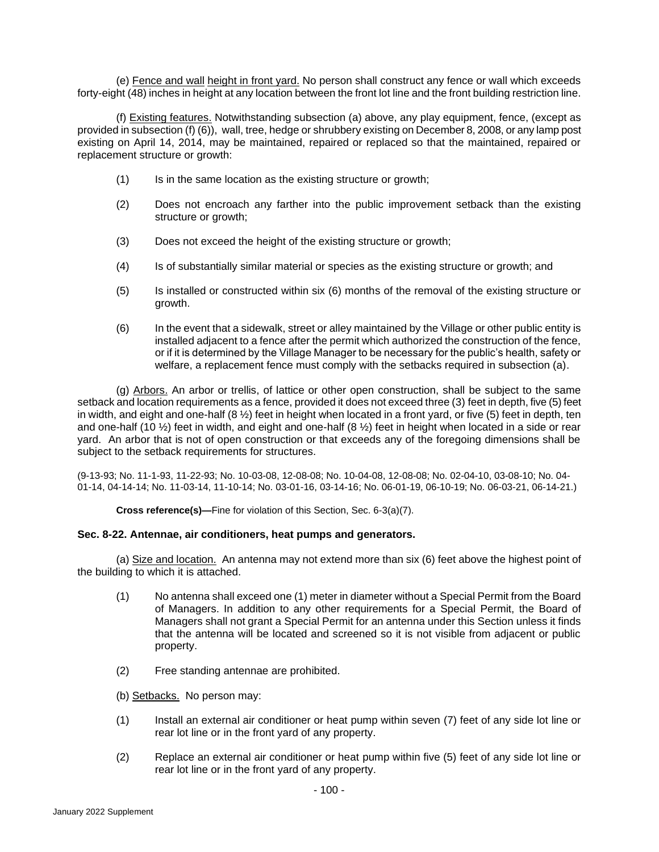(e) Fence and wall height in front yard. No person shall construct any fence or wall which exceeds forty-eight (48) inches in height at any location between the front lot line and the front building restriction line.

(f) Existing features. Notwithstanding subsection (a) above, any play equipment, fence, (except as provided in subsection (f) (6)), wall, tree, hedge or shrubbery existing on December 8, 2008, or any lamp post existing on April 14, 2014, may be maintained, repaired or replaced so that the maintained, repaired or replacement structure or growth:

- (1) Is in the same location as the existing structure or growth;
- (2) Does not encroach any farther into the public improvement setback than the existing structure or growth;
- (3) Does not exceed the height of the existing structure or growth;
- (4) Is of substantially similar material or species as the existing structure or growth; and
- (5) Is installed or constructed within six (6) months of the removal of the existing structure or growth.
- (6) In the event that a sidewalk, street or alley maintained by the Village or other public entity is installed adjacent to a fence after the permit which authorized the construction of the fence, or if it is determined by the Village Manager to be necessary for the public's health, safety or welfare, a replacement fence must comply with the setbacks required in subsection (a).

(g) Arbors. An arbor or trellis, of lattice or other open construction, shall be subject to the same setback and location requirements as a fence, provided it does not exceed three (3) feet in depth, five (5) feet in width, and eight and one-half  $(8 \frac{1}{2})$  feet in height when located in a front yard, or five (5) feet in depth, ten and one-half (10 ½) feet in width, and eight and one-half (8 ½) feet in height when located in a side or rear yard. An arbor that is not of open construction or that exceeds any of the foregoing dimensions shall be subject to the setback requirements for structures.

(9-13-93; No. 11-1-93, 11-22-93; No. 10-03-08, 12-08-08; No. 10-04-08, 12-08-08; No. 02-04-10, 03-08-10; No. 04- 01-14, 04-14-14; No. 11-03-14, 11-10-14; No. 03-01-16, 03-14-16; No. 06-01-19, 06-10-19; No. 06-03-21, 06-14-21.)

**Cross reference(s)—**Fine for violation of this Section, Sec. 6-3(a)(7).

### **Sec. 8-22. Antennae, air conditioners, heat pumps and generators.**

(a) Size and location. An antenna may not extend more than six (6) feet above the highest point of the building to which it is attached.

- (1) No antenna shall exceed one (1) meter in diameter without a Special Permit from the Board of Managers. In addition to any other requirements for a Special Permit, the Board of Managers shall not grant a Special Permit for an antenna under this Section unless it finds that the antenna will be located and screened so it is not visible from adjacent or public property.
- (2) Free standing antennae are prohibited.
- (b) Setbacks. No person may:
- (1) Install an external air conditioner or heat pump within seven (7) feet of any side lot line or rear lot line or in the front yard of any property.
- (2) Replace an external air conditioner or heat pump within five (5) feet of any side lot line or rear lot line or in the front yard of any property.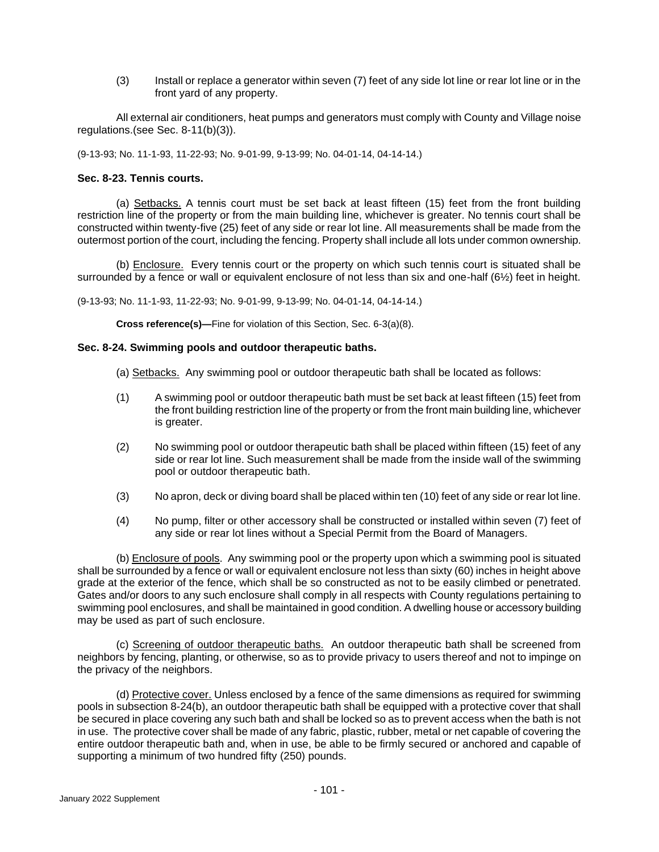(3) Install or replace a generator within seven (7) feet of any side lot line or rear lot line or in the front yard of any property.

All external air conditioners, heat pumps and generators must comply with County and Village noise regulations.(see Sec. 8-11(b)(3)).

(9-13-93; No. 11-1-93, 11-22-93; No. 9-01-99, 9-13-99; No. 04-01-14, 04-14-14.)

### **Sec. 8-23. Tennis courts.**

(a) Setbacks. A tennis court must be set back at least fifteen (15) feet from the front building restriction line of the property or from the main building line, whichever is greater. No tennis court shall be constructed within twenty-five (25) feet of any side or rear lot line. All measurements shall be made from the outermost portion of the court, including the fencing. Property shall include all lots under common ownership.

(b) Enclosure. Every tennis court or the property on which such tennis court is situated shall be surrounded by a fence or wall or equivalent enclosure of not less than six and one-half (6½) feet in height.

(9-13-93; No. 11-1-93, 11-22-93; No. 9-01-99, 9-13-99; No. 04-01-14, 04-14-14.)

**Cross reference(s)—**Fine for violation of this Section, Sec. 6-3(a)(8).

### **Sec. 8-24. Swimming pools and outdoor therapeutic baths.**

- (a) Setbacks. Any swimming pool or outdoor therapeutic bath shall be located as follows:
- (1) A swimming pool or outdoor therapeutic bath must be set back at least fifteen (15) feet from the front building restriction line of the property or from the front main building line, whichever is greater.
- (2) No swimming pool or outdoor therapeutic bath shall be placed within fifteen (15) feet of any side or rear lot line. Such measurement shall be made from the inside wall of the swimming pool or outdoor therapeutic bath.
- (3) No apron, deck or diving board shall be placed within ten (10) feet of any side or rear lot line.
- (4) No pump, filter or other accessory shall be constructed or installed within seven (7) feet of any side or rear lot lines without a Special Permit from the Board of Managers.

(b) Enclosure of pools. Any swimming pool or the property upon which a swimming pool is situated shall be surrounded by a fence or wall or equivalent enclosure not less than sixty (60) inches in height above grade at the exterior of the fence, which shall be so constructed as not to be easily climbed or penetrated. Gates and/or doors to any such enclosure shall comply in all respects with County regulations pertaining to swimming pool enclosures, and shall be maintained in good condition. A dwelling house or accessory building may be used as part of such enclosure.

(c) Screening of outdoor therapeutic baths. An outdoor therapeutic bath shall be screened from neighbors by fencing, planting, or otherwise, so as to provide privacy to users thereof and not to impinge on the privacy of the neighbors.

(d) Protective cover. Unless enclosed by a fence of the same dimensions as required for swimming pools in subsection 8-24(b), an outdoor therapeutic bath shall be equipped with a protective cover that shall be secured in place covering any such bath and shall be locked so as to prevent access when the bath is not in use. The protective cover shall be made of any fabric, plastic, rubber, metal or net capable of covering the entire outdoor therapeutic bath and, when in use, be able to be firmly secured or anchored and capable of supporting a minimum of two hundred fifty (250) pounds.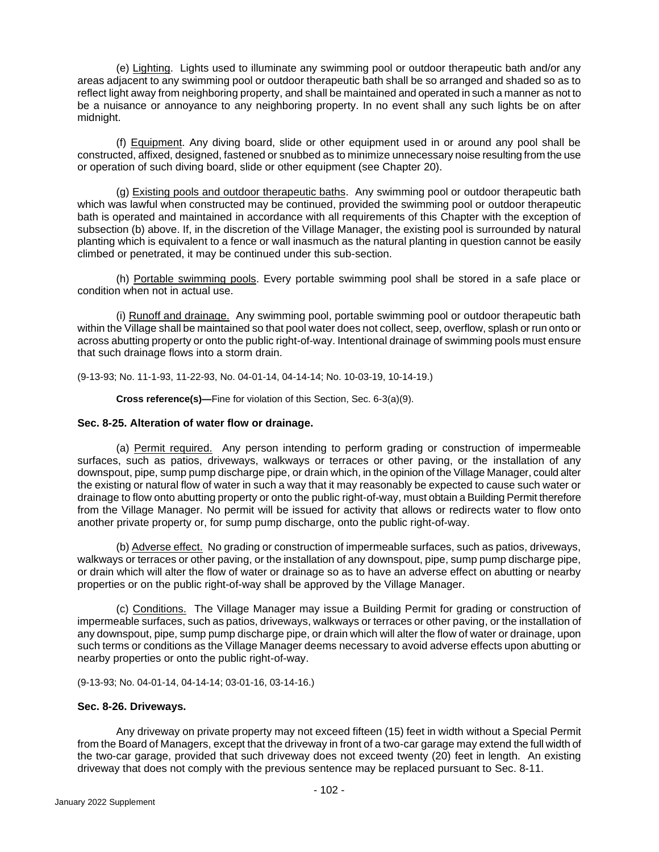(e) Lighting. Lights used to illuminate any swimming pool or outdoor therapeutic bath and/or any areas adjacent to any swimming pool or outdoor therapeutic bath shall be so arranged and shaded so as to reflect light away from neighboring property, and shall be maintained and operated in such a manner as not to be a nuisance or annoyance to any neighboring property. In no event shall any such lights be on after midnight.

(f) Equipment. Any diving board, slide or other equipment used in or around any pool shall be constructed, affixed, designed, fastened or snubbed as to minimize unnecessary noise resulting from the use or operation of such diving board, slide or other equipment (see Chapter 20).

(g) Existing pools and outdoor therapeutic baths. Any swimming pool or outdoor therapeutic bath which was lawful when constructed may be continued, provided the swimming pool or outdoor therapeutic bath is operated and maintained in accordance with all requirements of this Chapter with the exception of subsection (b) above. If, in the discretion of the Village Manager, the existing pool is surrounded by natural planting which is equivalent to a fence or wall inasmuch as the natural planting in question cannot be easily climbed or penetrated, it may be continued under this sub-section.

(h) Portable swimming pools. Every portable swimming pool shall be stored in a safe place or condition when not in actual use.

(i) Runoff and drainage. Any swimming pool, portable swimming pool or outdoor therapeutic bath within the Village shall be maintained so that pool water does not collect, seep, overflow, splash or run onto or across abutting property or onto the public right-of-way. Intentional drainage of swimming pools must ensure that such drainage flows into a storm drain.

(9-13-93; No. 11-1-93, 11-22-93, No. 04-01-14, 04-14-14; No. 10-03-19, 10-14-19.)

**Cross reference(s)—**Fine for violation of this Section, Sec. 6-3(a)(9).

## **Sec. 8-25. Alteration of water flow or drainage.**

(a) Permit required. Any person intending to perform grading or construction of impermeable surfaces, such as patios, driveways, walkways or terraces or other paving, or the installation of any downspout, pipe, sump pump discharge pipe, or drain which, in the opinion of the Village Manager, could alter the existing or natural flow of water in such a way that it may reasonably be expected to cause such water or drainage to flow onto abutting property or onto the public right-of-way, must obtain a Building Permit therefore from the Village Manager. No permit will be issued for activity that allows or redirects water to flow onto another private property or, for sump pump discharge, onto the public right-of-way.

(b) Adverse effect. No grading or construction of impermeable surfaces, such as patios, driveways, walkways or terraces or other paving, or the installation of any downspout, pipe, sump pump discharge pipe, or drain which will alter the flow of water or drainage so as to have an adverse effect on abutting or nearby properties or on the public right-of-way shall be approved by the Village Manager.

(c) Conditions. The Village Manager may issue a Building Permit for grading or construction of impermeable surfaces, such as patios, driveways, walkways or terraces or other paving, or the installation of any downspout, pipe, sump pump discharge pipe, or drain which will alter the flow of water or drainage, upon such terms or conditions as the Village Manager deems necessary to avoid adverse effects upon abutting or nearby properties or onto the public right-of-way.

(9-13-93; No. 04-01-14, 04-14-14; 03-01-16, 03-14-16.)

## **Sec. 8-26. Driveways.**

Any driveway on private property may not exceed fifteen (15) feet in width without a Special Permit from the Board of Managers, except that the driveway in front of a two-car garage may extend the full width of the two-car garage, provided that such driveway does not exceed twenty (20) feet in length. An existing driveway that does not comply with the previous sentence may be replaced pursuant to Sec. 8-11.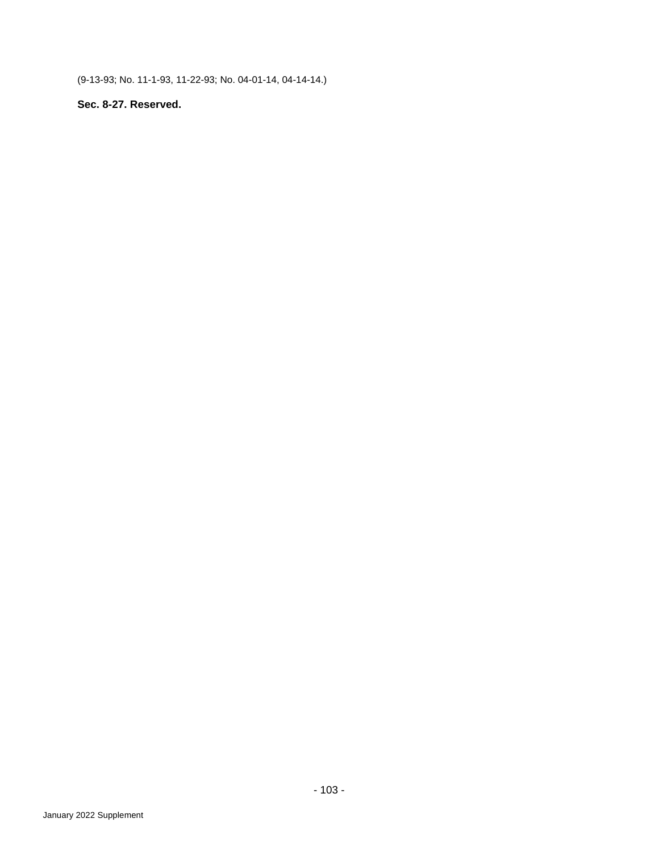(9-13-93; No. 11-1-93, 11-22-93; No. 04-01-14, 04-14-14.)

# **Sec. 8-27. Reserved.**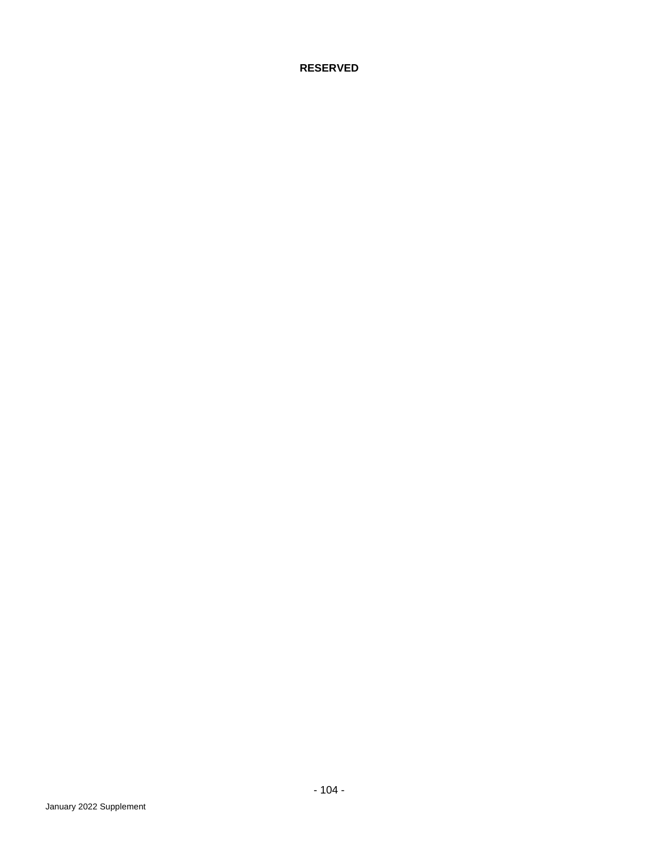**RESERVED**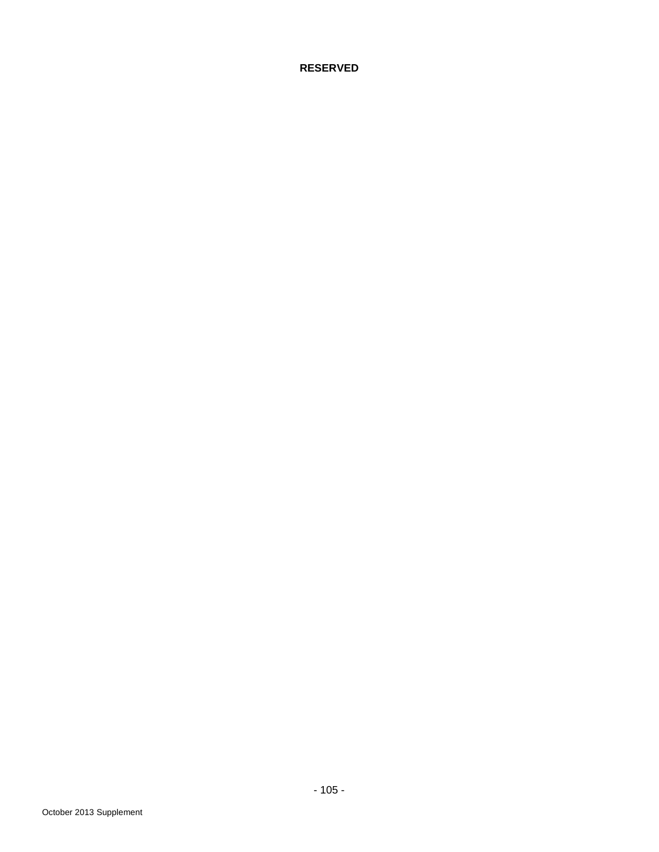**RESERVED**